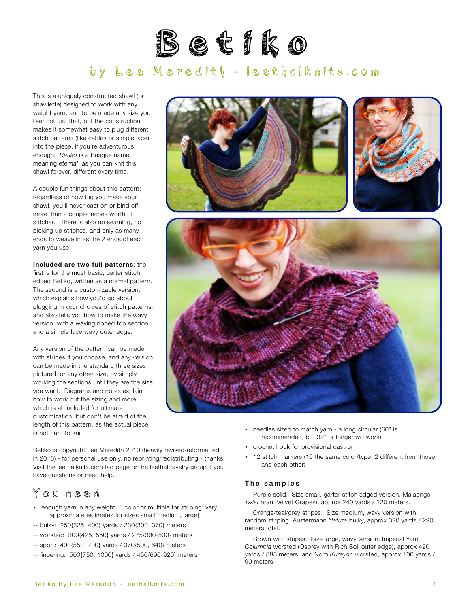

# by Lee Meredith - [leethalknits.com](http://www.leethalknits.com)

This is a uniquely constructed shawl (or shawlette) designed to work with any weight yarn, and to be made any size you like; not just that, but the construction makes it somewhat easy to plug different stitch patterns (like cables or simple lace) into the piece, if you're adventurous enough! *Betiko* is a Basque name meaning *eternal*, as you can knit this shawl forever, different every time.

A couple fun things about this pattern: regardless of how big you make your shawl, you'll never cast on or bind off more than a couple inches worth of stitches. There is also no seaming, no picking up stitches, and only as many ends to weave in as the 2 ends of each yarn you use.

<span id="page-0-0"></span>**Included are two full patterns**; the first is for the most basic, garter stitch edged Betiko, written as a normal pattern. The second is a customizable version, which explains how you'd go about plugging in your choices of stitch patterns, and also tells you how to make the wavy version, with a waving ribbed top section and a simple lace wavy outer edge.

Any version of the pattern can be made with stripes if you choose, and any version can be made in the standard three sizes pictured, or any other size, by simply working the sections until they are the size you want. Diagrams and notes explain how to work out the sizing and more, which is all included for ultimate customization, but don't be afraid of the length of this pattern, as the actual piece is not hard to knit!

Betiko is copyright Lee Meredith 2010 (heavily revised/reformatted in 2013) - for personal use only, no reprinting/redistributing - thanks! Visit the leethalknits.com [faq page](http://www.leethalknits.com/faq.html) or the leethal [ravelry group](http://www.ravelry.com/groups/leethal-knitters) if you have questions or need help.

#### You need

- ‣ enough yarn in any weight, 1 color or multiple for striping; very approximate estimates for sizes small{medium, large}
- -- bulky: 250{325, 400} yards / 230{300, 370} meters
- -- worsted: 300{425, 550} yards / 275{390-500} meters
- -- sport: 400{550, 700} yards / 370{500, 640} meters
- -- fingering: 500{750, 1000} yards / 450{690-920} meters





- ‣ needles sized to match yarn a long circular (60" is recommended, but 32" or longer will work)
- ‣ crochet hook for provisional cast-on
- ▶ 12 stitch markers (10 the same color/type, 2 different from those and each other)

#### The samples

Purple solid: Size small, garter stitch edged version, Malabrigo *Twist* aran (Velvet Grapes), approx 240 yards / 220 meters.

Orange/teal/grey stripes: Size medium, wavy version with random striping, Austermann *Natura* bulky, approx 320 yards / 290 meters total.

Brown with stripes: Size large, wavy version, Imperial Yarn *Columbia* worsted (Osprey with Rich Soil outer edge), approx 420 yards / 385 meters, and Noro *Kureyon* worsted, approx 100 yards / 90 meters.